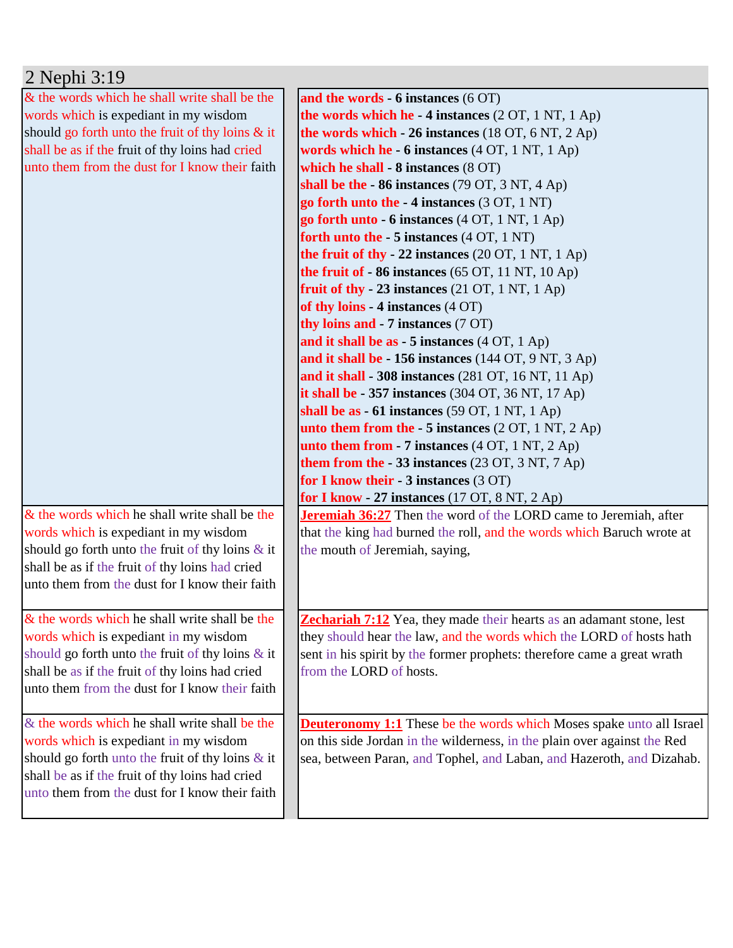| 2 Nephi 3:19                                        |                                                                               |
|-----------------------------------------------------|-------------------------------------------------------------------------------|
| & the words which he shall write shall be the       | and the words $-6$ instances $(6 \text{ OT})$                                 |
| words which is expediant in my wisdom               | the words which he $-4$ instances (2 OT, 1 NT, 1 Ap)                          |
| should go forth unto the fruit of thy loins & it    | the words which $-26$ instances (18 OT, 6 NT, 2 Ap)                           |
| shall be as if the fruit of thy loins had cried     | words which he - 6 instances (4 OT, 1 NT, 1 Ap)                               |
| unto them from the dust for I know their faith      | which he shall - 8 instances (8 OT)                                           |
|                                                     | shall be the $-86$ instances (79 OT, 3 NT, 4 Ap)                              |
|                                                     | go forth unto the -4 instances (3 OT, 1 NT)                                   |
|                                                     | go forth unto $-6$ instances $(4 OT, 1 NT, 1 Ap)$                             |
|                                                     | forth unto the $-5$ instances $(4 OT, 1 NT)$                                  |
|                                                     | the fruit of thy - 22 instances $(20 \text{ OT}, 1 \text{ NT}, 1 \text{ Ap})$ |
|                                                     | the fruit of $-86$ instances (65 OT, 11 NT, 10 Ap)                            |
|                                                     | fruit of thy - 23 instances $(21 OT, 1 NT, 1 Ap)$                             |
|                                                     | of thy loins - $4$ instances $(4$ OT)                                         |
|                                                     | thy loins and - 7 instances (7 OT)                                            |
|                                                     | and it shall be as $-5$ instances $(4 OT, 1 Ap)$                              |
|                                                     | and it shall be - 156 instances (144 OT, 9 NT, 3 Ap)                          |
|                                                     | and it shall - 308 instances $(281$ OT, 16 NT, 11 Ap)                         |
|                                                     | it shall be $-357$ instances (304 OT, 36 NT, 17 Ap)                           |
|                                                     | shall be as $-61$ instances (59 OT, 1 NT, 1 Ap)                               |
|                                                     | unto them from the $-5$ instances (2 OT, 1 NT, 2 Ap)                          |
|                                                     | unto them from $-7$ instances $(4 OT, 1 NT, 2 Ap)$                            |
|                                                     | them from the $-33$ instances (23 OT, 3 NT, 7 Ap)                             |
|                                                     | for I know their - 3 instances (3 OT)                                         |
|                                                     | for I know - 27 instances $(17 \text{ OT}, 8 \text{ NT}, 2 \text{ Ap})$       |
| & the words which he shall write shall be the       | <b>Jeremiah 36:27</b> Then the word of the LORD came to Jeremiah, after       |
| words which is expediant in my wisdom               | that the king had burned the roll, and the words which Baruch wrote at        |
| should go forth unto the fruit of thy loins $\&$ it | the mouth of Jeremiah, saying,                                                |
| shall be as if the fruit of thy loins had cried     |                                                                               |
| unto them from the dust for I know their faith      |                                                                               |
|                                                     |                                                                               |
| & the words which he shall write shall be the       | <b>Zechariah 7:12</b> Yea, they made their hearts as an adamant stone, lest   |
| words which is expediant in my wisdom               | they should hear the law, and the words which the LORD of hosts hath          |
| should go forth unto the fruit of thy loins $\&$ it | sent in his spirit by the former prophets: therefore came a great wrath       |
| shall be as if the fruit of thy loins had cried     | from the LORD of hosts.                                                       |
| unto them from the dust for I know their faith      |                                                                               |
|                                                     |                                                                               |
| & the words which he shall write shall be the       | <b>Deuteronomy 1:1</b> These be the words which Moses spake unto all Israel   |
| words which is expediant in my wisdom               | on this side Jordan in the wilderness, in the plain over against the Red      |
| should go forth unto the fruit of thy loins $\&$ it | sea, between Paran, and Tophel, and Laban, and Hazeroth, and Dizahab.         |
| shall be as if the fruit of thy loins had cried     |                                                                               |
| unto them from the dust for I know their faith      |                                                                               |
|                                                     |                                                                               |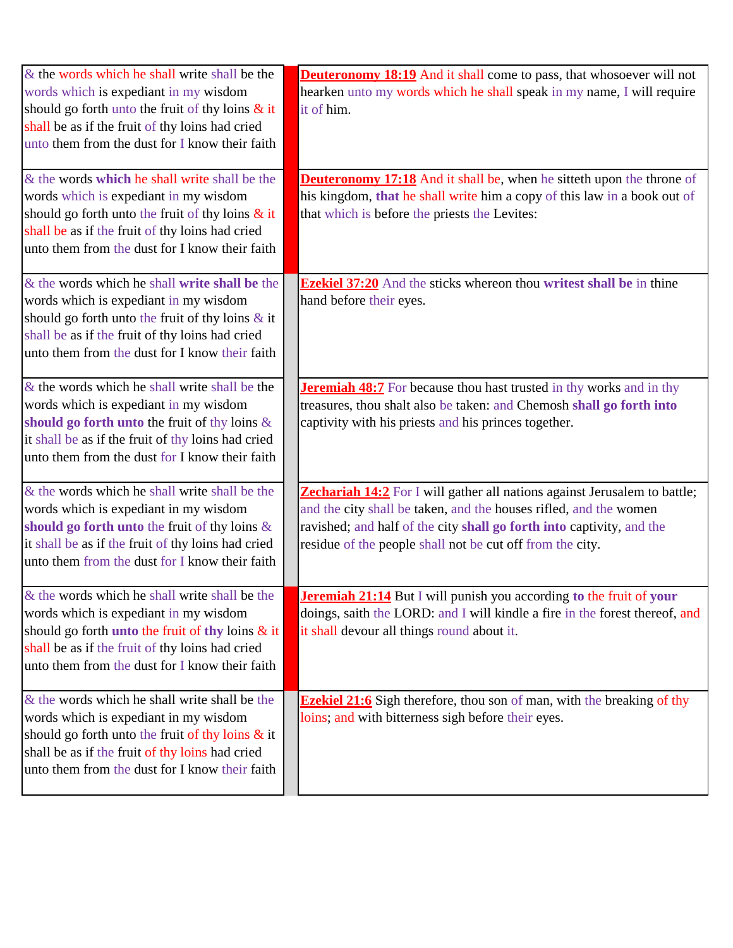| & the words which he shall write shall be the<br>words which is expediant in my wisdom<br>should go forth unto the fruit of thy loins $\&$ it<br>shall be as if the fruit of thy loins had cried<br>unto them from the dust for I know their faith   | <b>Deuteronomy 18:19</b> And it shall come to pass, that whosoever will not<br>hearken unto my words which he shall speak in my name, I will require<br>it of him.                                                                                                                   |
|------------------------------------------------------------------------------------------------------------------------------------------------------------------------------------------------------------------------------------------------------|--------------------------------------------------------------------------------------------------------------------------------------------------------------------------------------------------------------------------------------------------------------------------------------|
| & the words which he shall write shall be the<br>words which is expediant in my wisdom<br>should go forth unto the fruit of thy loins $\&$ it<br>shall be as if the fruit of thy loins had cried<br>unto them from the dust for I know their faith   | <b>Deuteronomy 17:18</b> And it shall be, when he sitteth upon the throne of<br>his kingdom, that he shall write him a copy of this law in a book out of<br>that which is before the priests the Levites:                                                                            |
| & the words which he shall write shall be the<br>words which is expediant in my wisdom<br>should go forth unto the fruit of thy loins $\&$ it<br>shall be as if the fruit of thy loins had cried<br>unto them from the dust for I know their faith   | <b>Ezekiel 37:20</b> And the sticks whereon thou writest shall be in thine<br>hand before their eyes.                                                                                                                                                                                |
| $&$ the words which he shall write shall be the<br>words which is expediant in my wisdom<br>should go forth unto the fruit of thy loins $\&$<br>it shall be as if the fruit of thy loins had cried<br>unto them from the dust for I know their faith | <b>Jeremiah 48:7</b> For because thou hast trusted in thy works and in thy<br>treasures, thou shalt also be taken: and Chemosh shall go forth into<br>captivity with his priests and his princes together.                                                                           |
| & the words which he shall write shall be the<br>words which is expediant in my wisdom<br>should go forth unto the fruit of thy loins &<br>it shall be as if the fruit of thy loins had cried<br>unto them from the dust for I know their faith      | Zechariah 14:2 For I will gather all nations against Jerusalem to battle;<br>and the city shall be taken, and the houses rifled, and the women<br>ravished; and half of the city shall go forth into captivity, and the<br>residue of the people shall not be cut off from the city. |
| & the words which he shall write shall be the<br>words which is expediant in my wisdom<br>should go forth unto the fruit of thy loins & it<br>shall be as if the fruit of thy loins had cried<br>unto them from the dust for I know their faith      | Jeremiah 21:14 But I will punish you according to the fruit of your<br>doings, saith the LORD: and I will kindle a fire in the forest thereof, and<br>it shall devour all things round about it.                                                                                     |
| & the words which he shall write shall be the<br>words which is expediant in my wisdom<br>should go forth unto the fruit of thy loins $\&$ it<br>shall be as if the fruit of thy loins had cried<br>unto them from the dust for I know their faith   | <b>Ezekiel 21:6</b> Sigh therefore, thou son of man, with the breaking of thy<br>loins; and with bitterness sigh before their eyes.                                                                                                                                                  |